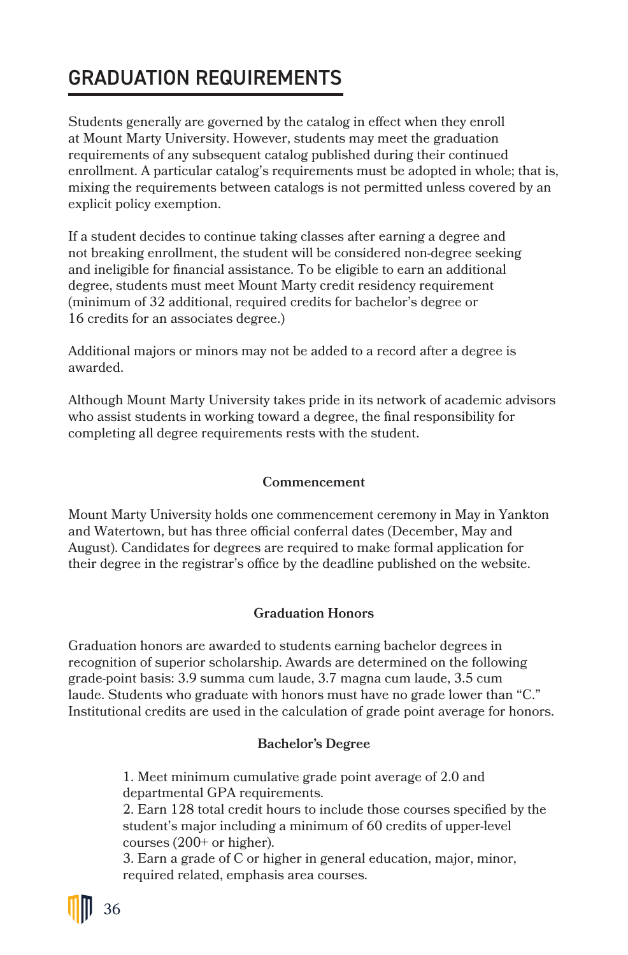# GRADUATION REQUIREMENTS

Students generally are governed by the catalog in effect when they enroll at Mount Marty University. However, students may meet the graduation requirements of any subsequent catalog published during their continued enrollment. A particular catalog's requirements must be adopted in whole; that is, mixing the requirements between catalogs is not permitted unless covered by an explicit policy exemption.

If a student decides to continue taking classes after earning a degree and not breaking enrollment, the student will be considered non-degree seeking and ineligible for financial assistance. To be eligible to earn an additional degree, students must meet Mount Marty credit residency requirement (minimum of 32 additional, required credits for bachelor's degree or 16 credits for an associates degree.)

Additional majors or minors may not be added to a record after a degree is awarded.

Although Mount Marty University takes pride in its network of academic advisors who assist students in working toward a degree, the final responsibility for completing all degree requirements rests with the student.

# **Commencement**

Mount Marty University holds one commencement ceremony in May in Yankton and Watertown, but has three official conferral dates (December, May and August). Candidates for degrees are required to make formal application for their degree in the registrar's office by the deadline published on the website.

# **Graduation Honors**

Graduation honors are awarded to students earning bachelor degrees in recognition of superior scholarship. Awards are determined on the following grade-point basis: 3.9 summa cum laude, 3.7 magna cum laude, 3.5 cum laude. Students who graduate with honors must have no grade lower than "C." Institutional credits are used in the calculation of grade point average for honors.

# **Bachelor's Degree**

1. Meet minimum cumulative grade point average of 2.0 and departmental GPA requirements.

2. Earn 128 total credit hours to include those courses specified by the student's major including a minimum of 60 credits of upper-level courses (200+ or higher).

3. Earn a grade of C or higher in general education, major, minor, required related, emphasis area courses.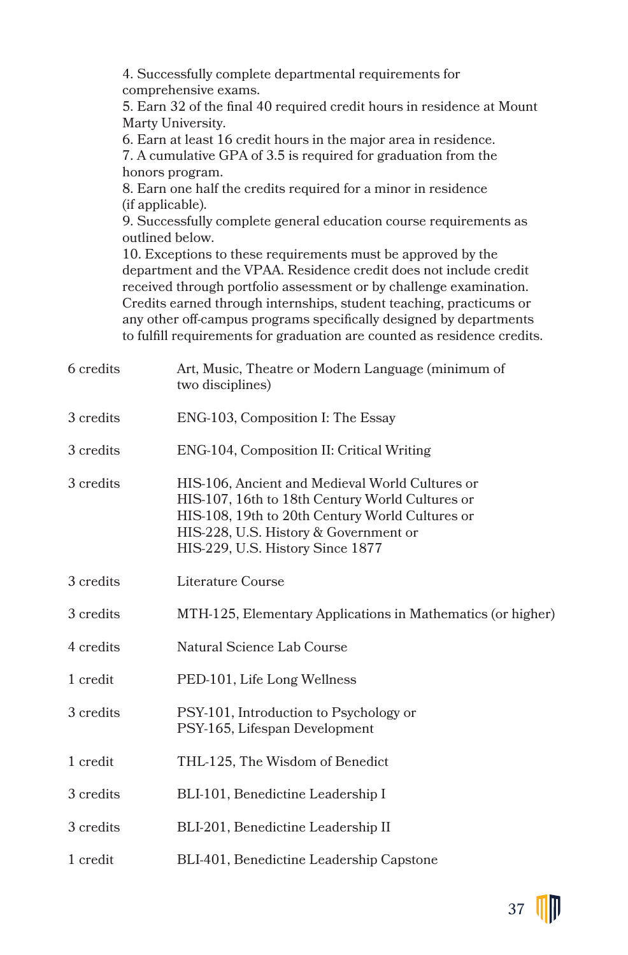4. Successfully complete departmental requirements for comprehensive exams.

5. Earn 32 of the final 40 required credit hours in residence at Mount Marty University.

6. Earn at least 16 credit hours in the major area in residence. 7. A cumulative GPA of 3.5 is required for graduation from the honors program.

8. Earn one half the credits required for a minor in residence (if applicable).

9. Successfully complete general education course requirements as outlined below.

10. Exceptions to these requirements must be approved by the department and the VPAA. Residence credit does not include credit received through portfolio assessment or by challenge examination. Credits earned through internships, student teaching, practicums or any other off-campus programs specifically designed by departments to fulfill requirements for graduation are counted as residence credits.

| 6 credits | Art, Music, Theatre or Modern Language (minimum of<br>two disciplines)                                                                                                                                                             |
|-----------|------------------------------------------------------------------------------------------------------------------------------------------------------------------------------------------------------------------------------------|
| 3 credits | ENG-103, Composition I: The Essay                                                                                                                                                                                                  |
| 3 credits | ENG-104, Composition II: Critical Writing                                                                                                                                                                                          |
| 3 credits | HIS-106, Ancient and Medieval World Cultures or<br>HIS-107, 16th to 18th Century World Cultures or<br>HIS-108, 19th to 20th Century World Cultures or<br>HIS-228, U.S. History & Government or<br>HIS-229, U.S. History Since 1877 |
| 3 credits | Literature Course                                                                                                                                                                                                                  |
| 3 credits | MTH-125, Elementary Applications in Mathematics (or higher)                                                                                                                                                                        |
| 4 credits | Natural Science Lab Course                                                                                                                                                                                                         |
| 1 credit  | PED-101, Life Long Wellness                                                                                                                                                                                                        |
| 3 credits | PSY-101, Introduction to Psychology or<br>PSY-165, Lifespan Development                                                                                                                                                            |
| 1 credit  | THL-125, The Wisdom of Benedict                                                                                                                                                                                                    |
| 3 credits | BLI-101, Benedictine Leadership I                                                                                                                                                                                                  |
| 3 credits | BLI-201, Benedictine Leadership II                                                                                                                                                                                                 |
| 1 credit  | BLI-401, Benedictine Leadership Capstone                                                                                                                                                                                           |

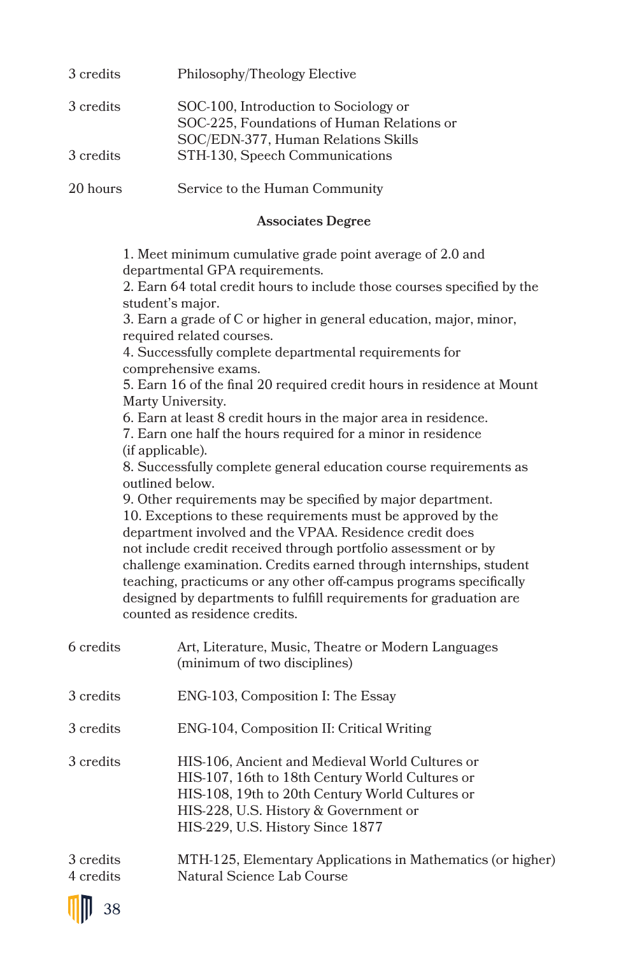| 3 credits | Philosophy/Theology Elective                                                                                               |
|-----------|----------------------------------------------------------------------------------------------------------------------------|
| 3 credits | SOC-100, Introduction to Sociology or<br>SOC-225, Foundations of Human Relations or<br>SOC/EDN-377, Human Relations Skills |
| 3 credits | STH-130, Speech Communications                                                                                             |
| 20 hours  | Service to the Human Community                                                                                             |

# **Associates Degree**

1. Meet minimum cumulative grade point average of 2.0 and departmental GPA requirements.

2. Earn 64 total credit hours to include those courses specified by the student's major.

3. Earn a grade of C or higher in general education, major, minor, required related courses.

4. Successfully complete departmental requirements for comprehensive exams.

5. Earn 16 of the final 20 required credit hours in residence at Mount Marty University.

6. Earn at least 8 credit hours in the major area in residence.

7. Earn one half the hours required for a minor in residence (if applicable).

8. Successfully complete general education course requirements as outlined below.

9. Other requirements may be specified by major department. 10. Exceptions to these requirements must be approved by the department involved and the VPAA. Residence credit does not include credit received through portfolio assessment or by challenge examination. Credits earned through internships, student teaching, practicums or any other off-campus programs specifically designed by departments to fulfill requirements for graduation are counted as residence credits.

| 6 credits              | Art, Literature, Music, Theatre or Modern Languages<br>(minimum of two disciplines)                                                                                                                                                |
|------------------------|------------------------------------------------------------------------------------------------------------------------------------------------------------------------------------------------------------------------------------|
| 3 credits              | ENG-103, Composition I: The Essay                                                                                                                                                                                                  |
| 3 credits              | ENG-104, Composition II: Critical Writing                                                                                                                                                                                          |
| 3 credits              | HIS-106, Ancient and Medieval World Cultures or<br>HIS-107, 16th to 18th Century World Cultures or<br>HIS-108, 19th to 20th Century World Cultures or<br>HIS-228, U.S. History & Government or<br>HIS-229, U.S. History Since 1877 |
| 3 credits<br>4 credits | MTH-125, Elementary Applications in Mathematics (or higher)<br>Natural Science Lab Course                                                                                                                                          |

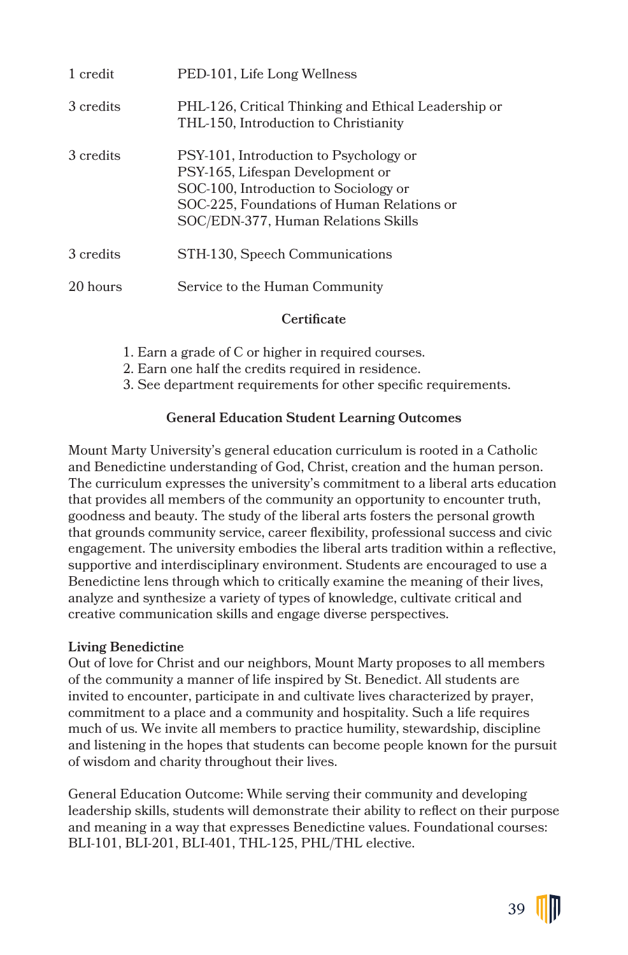| 1 credit  | PED-101, Life Long Wellness                                                                                                                                                                              |
|-----------|----------------------------------------------------------------------------------------------------------------------------------------------------------------------------------------------------------|
| 3 credits | PHL-126, Critical Thinking and Ethical Leadership or<br>THL-150, Introduction to Christianity                                                                                                            |
| 3 credits | PSY-101, Introduction to Psychology or<br>PSY-165, Lifespan Development or<br>SOC-100, Introduction to Sociology or<br>SOC-225, Foundations of Human Relations or<br>SOC/EDN-377, Human Relations Skills |
| 3 credits | STH-130, Speech Communications                                                                                                                                                                           |
| 20 hours  | Service to the Human Community                                                                                                                                                                           |

### **Certificate**

- 1. Earn a grade of C or higher in required courses.
- 2. Earn one half the credits required in residence.
- 3. See department requirements for other specific requirements.

#### **General Education Student Learning Outcomes**

Mount Marty University's general education curriculum is rooted in a Catholic and Benedictine understanding of God, Christ, creation and the human person. The curriculum expresses the university's commitment to a liberal arts education that provides all members of the community an opportunity to encounter truth, goodness and beauty. The study of the liberal arts fosters the personal growth that grounds community service, career flexibility, professional success and civic engagement. The university embodies the liberal arts tradition within a reflective, supportive and interdisciplinary environment. Students are encouraged to use a Benedictine lens through which to critically examine the meaning of their lives, analyze and synthesize a variety of types of knowledge, cultivate critical and creative communication skills and engage diverse perspectives.

#### **Living Benedictine**

Out of love for Christ and our neighbors, Mount Marty proposes to all members of the community a manner of life inspired by St. Benedict. All students are invited to encounter, participate in and cultivate lives characterized by prayer, commitment to a place and a community and hospitality. Such a life requires much of us. We invite all members to practice humility, stewardship, discipline and listening in the hopes that students can become people known for the pursuit of wisdom and charity throughout their lives.

General Education Outcome: While serving their community and developing leadership skills, students will demonstrate their ability to reflect on their purpose and meaning in a way that expresses Benedictine values. Foundational courses: BLI-101, BLI-201, BLI-401, THL-125, PHL/THL elective.